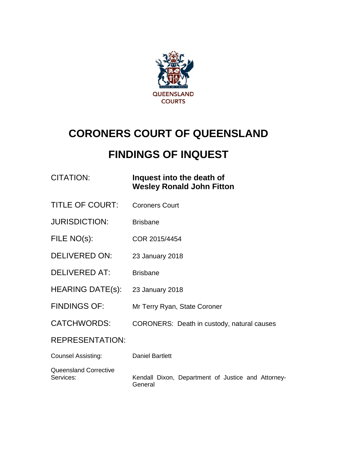

# **CORONERS COURT OF QUEENSLAND**

## **FINDINGS OF INQUEST**

**Fitton** 

| <b>CITATION:</b> | Inquest into the death of       |
|------------------|---------------------------------|
|                  | <b>Wesley Ronald John Fitto</b> |

- TITLE OF COURT: Coroners Court
- JURISDICTION: Brisbane
- FILE NO(s): COR 2015/4454
- DELIVERED ON: 23 January 2018
- DELIVERED AT: Brisbane
- HEARING DATE(s): 23 January 2018
- FINDINGS OF: Mr Terry Ryan, State Coroner
- CATCHWORDS: CORONERS: Death in custody, natural causes

REPRESENTATION:

| Counsel Assisting:           | Daniel Bartlett                                    |
|------------------------------|----------------------------------------------------|
| <b>Queensland Corrective</b> | Kendall Dixon, Department of Justice and Attorney- |
| Services:                    | General                                            |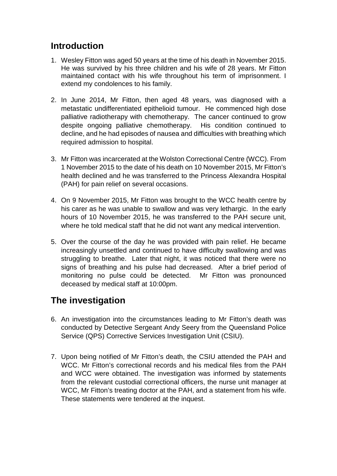#### **Introduction**

- 1. Wesley Fitton was aged 50 years at the time of his death in November 2015. He was survived by his three children and his wife of 28 years. Mr Fitton maintained contact with his wife throughout his term of imprisonment. I extend my condolences to his family.
- 2. In June 2014, Mr Fitton, then aged 48 years, was diagnosed with a metastatic undifferentiated epithelioid tumour. He commenced high dose palliative radiotherapy with chemotherapy. The cancer continued to grow despite ongoing palliative chemotherapy. His condition continued to decline, and he had episodes of nausea and difficulties with breathing which required admission to hospital.
- 3. Mr Fitton was incarcerated at the Wolston Correctional Centre (WCC). From 1 November 2015 to the date of his death on 10 November 2015, Mr Fitton's health declined and he was transferred to the Princess Alexandra Hospital (PAH) for pain relief on several occasions.
- 4. On 9 November 2015, Mr Fitton was brought to the WCC health centre by his carer as he was unable to swallow and was very lethargic. In the early hours of 10 November 2015, he was transferred to the PAH secure unit, where he told medical staff that he did not want any medical intervention.
- 5. Over the course of the day he was provided with pain relief. He became increasingly unsettled and continued to have difficulty swallowing and was struggling to breathe. Later that night, it was noticed that there were no signs of breathing and his pulse had decreased. After a brief period of monitoring no pulse could be detected. Mr Fitton was pronounced deceased by medical staff at 10:00pm.

### **The investigation**

- 6. An investigation into the circumstances leading to Mr Fitton's death was conducted by Detective Sergeant Andy Seery from the Queensland Police Service (QPS) Corrective Services Investigation Unit (CSIU).
- 7. Upon being notified of Mr Fitton's death, the CSIU attended the PAH and WCC. Mr Fitton's correctional records and his medical files from the PAH and WCC were obtained. The investigation was informed by statements from the relevant custodial correctional officers, the nurse unit manager at WCC, Mr Fitton's treating doctor at the PAH, and a statement from his wife. These statements were tendered at the inquest.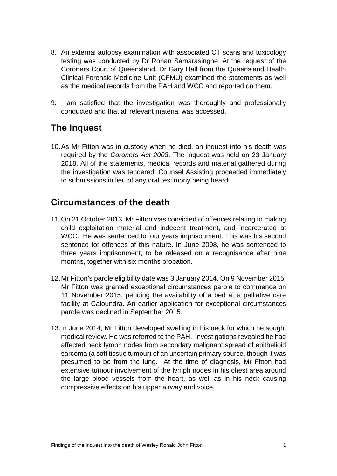- 8. An external autopsy examination with associated CT scans and toxicology testing was conducted by Dr Rohan Samarasinghe. At the request of the Coroners Court of Queensland, Dr Gary Hall from the Queensland Health Clinical Forensic Medicine Unit (CFMU) examined the statements as well as the medical records from the PAH and WCC and reported on them.
- 9. I am satisfied that the investigation was thoroughly and professionally conducted and that all relevant material was accessed.

#### **The Inquest**

10.As Mr Fitton was in custody when he died, an inquest into his death was required by the *Coroners Act 2003*. The inquest was held on 23 January 2018. All of the statements, medical records and material gathered during the investigation was tendered. Counsel Assisting proceeded immediately to submissions in lieu of any oral testimony being heard.

#### **Circumstances of the death**

- 11.On 21 October 2013, Mr Fitton was convicted of offences relating to making child exploitation material and indecent treatment, and incarcerated at WCC. He was sentenced to four years imprisonment. This was his second sentence for offences of this nature. In June 2008, he was sentenced to three years imprisonment, to be released on a recognisance after nine months, together with six months probation.
- 12.Mr Fitton's parole eligibility date was 3 January 2014. On 9 November 2015, Mr Fitton was granted exceptional circumstances parole to commence on 11 November 2015, pending the availability of a bed at a palliative care facility at Caloundra. An earlier application for exceptional circumstances parole was declined in September 2015.
- 13.In June 2014, Mr Fitton developed swelling in his neck for which he sought medical review. He was referred to the PAH. Investigations revealed he had affected neck lymph nodes from secondary malignant spread of epithelioid sarcoma (a soft tissue tumour) of an uncertain primary source, though it was presumed to be from the lung. At the time of diagnosis, Mr Fitton had extensive tumour involvement of the lymph nodes in his chest area around the large blood vessels from the heart, as well as in his neck causing compressive effects on his upper airway and voice.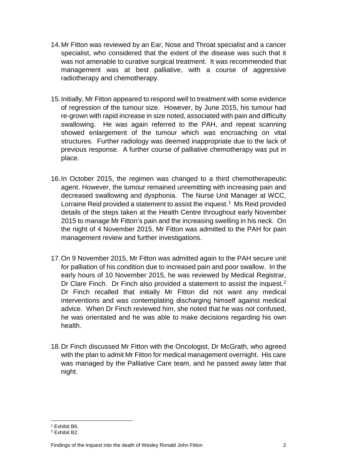- 14.Mr Fitton was reviewed by an Ear, Nose and Throat specialist and a cancer specialist, who considered that the extent of the disease was such that it was not amenable to curative surgical treatment. It was recommended that management was at best palliative, with a course of aggressive radiotherapy and chemotherapy.
- 15.Initially, Mr Fitton appeared to respond well to treatment with some evidence of regression of the tumour size. However, by June 2015, his tumour had re-grown with rapid increase in size noted, associated with pain and difficulty swallowing. He was again referred to the PAH, and repeat scanning showed enlargement of the tumour which was encroaching on vital structures. Further radiology was deemed inappropriate due to the lack of previous response. A further course of palliative chemotherapy was put in place.
- 16.In October 2015, the regimen was changed to a third chemotherapeutic agent. However, the tumour remained unremitting with increasing pain and decreased swallowing and dysphonia. The Nurse Unit Manager at WCC, Lorraine Reid provided a statement to assist the inquest.<sup>1</sup> Ms Reid provided details of the steps taken at the Health Centre throughout early November 2015 to manage Mr Fitton's pain and the increasing swelling in his neck. On the night of 4 November 2015, Mr Fitton was admitted to the PAH for pain management review and further investigations.
- 17.On 9 November 2015, Mr Fitton was admitted again to the PAH secure unit for palliation of his condition due to increased pain and poor swallow. In the early hours of 10 November 2015, he was reviewed by Medical Registrar, Dr Clare Finch. Dr Finch also provided a statement to assist the inquest.<sup>[2](#page-3-1)</sup> Dr Finch recalled that initially Mr Fitton did not want any medical interventions and was contemplating discharging himself against medical advice. When Dr Finch reviewed him, she noted that he was not confused, he was orientated and he was able to make decisions regarding his own health.
- 18.Dr Finch discussed Mr Fitton with the Oncologist, Dr McGrath, who agreed with the plan to admit Mr Fitton for medical management overnight. His care was managed by the Palliative Care team, and he passed away later that night.

<sup>1</sup> Exhibit B6.

<span id="page-3-1"></span><span id="page-3-0"></span><sup>2</sup> Exhibit B2.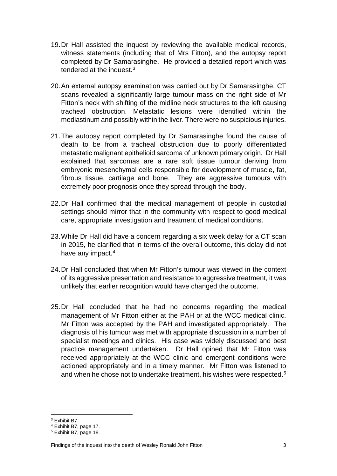- 19.Dr Hall assisted the inquest by reviewing the available medical records, witness statements (including that of Mrs Fitton), and the autopsy report completed by Dr Samarasinghe. He provided a detailed report which was tendered at the inquest.<sup>[3](#page-4-0)</sup>
- 20.An external autopsy examination was carried out by Dr Samarasinghe. CT scans revealed a significantly large tumour mass on the right side of Mr Fitton's neck with shifting of the midline neck structures to the left causing tracheal obstruction. Metastatic lesions were identified within the mediastinum and possibly within the liver. There were no suspicious injuries.
- 21.The autopsy report completed by Dr Samarasinghe found the cause of death to be from a tracheal obstruction due to poorly differentiated metastatic malignant epithelioid sarcoma of unknown primary origin. Dr Hall explained that sarcomas are a rare soft tissue tumour deriving from embryonic mesenchymal cells responsible for development of muscle, fat, fibrous tissue, cartilage and bone. They are aggressive tumours with extremely poor prognosis once they spread through the body.
- 22.Dr Hall confirmed that the medical management of people in custodial settings should mirror that in the community with respect to good medical care, appropriate investigation and treatment of medical conditions.
- 23.While Dr Hall did have a concern regarding a six week delay for a CT scan in 2015, he clarified that in terms of the overall outcome, this delay did not have any impact.<sup>[4](#page-4-1)</sup>
- 24.Dr Hall concluded that when Mr Fitton's tumour was viewed in the context of its aggressive presentation and resistance to aggressive treatment, it was unlikely that earlier recognition would have changed the outcome.
- 25.Dr Hall concluded that he had no concerns regarding the medical management of Mr Fitton either at the PAH or at the WCC medical clinic. Mr Fitton was accepted by the PAH and investigated appropriately. The diagnosis of his tumour was met with appropriate discussion in a number of specialist meetings and clinics. His case was widely discussed and best practice management undertaken. Dr Hall opined that Mr Fitton was received appropriately at the WCC clinic and emergent conditions were actioned appropriately and in a timely manner. Mr Fitton was listened to and when he chose not to undertake treatment, his wishes were respected.[5](#page-4-2)

<sup>3</sup> Exhibit B7.

<span id="page-4-1"></span><span id="page-4-0"></span><sup>4</sup> Exhibit B7, page 17.

<span id="page-4-2"></span><sup>5</sup> Exhibit B7, page 18.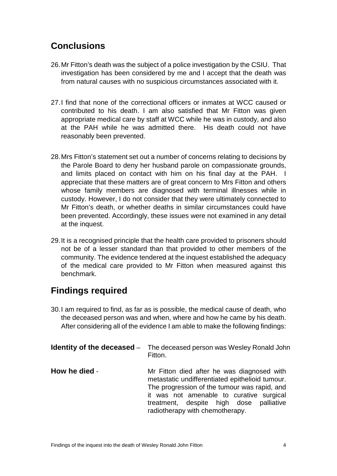### **Conclusions**

- 26.Mr Fitton's death was the subject of a police investigation by the CSIU. That investigation has been considered by me and I accept that the death was from natural causes with no suspicious circumstances associated with it.
- 27.I find that none of the correctional officers or inmates at WCC caused or contributed to his death. I am also satisfied that Mr Fitton was given appropriate medical care by staff at WCC while he was in custody, and also at the PAH while he was admitted there. His death could not have reasonably been prevented.
- 28.Mrs Fitton's statement set out a number of concerns relating to decisions by the Parole Board to deny her husband parole on compassionate grounds, and limits placed on contact with him on his final day at the PAH. I appreciate that these matters are of great concern to Mrs Fitton and others whose family members are diagnosed with terminal illnesses while in custody. However, I do not consider that they were ultimately connected to Mr Fitton's death, or whether deaths in similar circumstances could have been prevented. Accordingly, these issues were not examined in any detail at the inquest.
- 29.It is a recognised principle that the health care provided to prisoners should not be of a lesser standard than that provided to other members of the community. The evidence tendered at the inquest established the adequacy of the medical care provided to Mr Fitton when measured against this benchmark.

### **Findings required**

30.I am required to find, as far as is possible, the medical cause of death, who the deceased person was and when, where and how he came by his death. After considering all of the evidence I am able to make the following findings:

|               | <b>Identity of the deceased</b> – The deceased person was Wesley Ronald John<br>Fitton.                                                                                                                                                                                    |
|---------------|----------------------------------------------------------------------------------------------------------------------------------------------------------------------------------------------------------------------------------------------------------------------------|
| How he died - | Mr Fitton died after he was diagnosed with<br>metastatic undifferentiated epithelioid tumour.<br>The progression of the tumour was rapid, and<br>it was not amenable to curative surgical<br>treatment, despite high dose<br>palliative<br>radiotherapy with chemotherapy. |